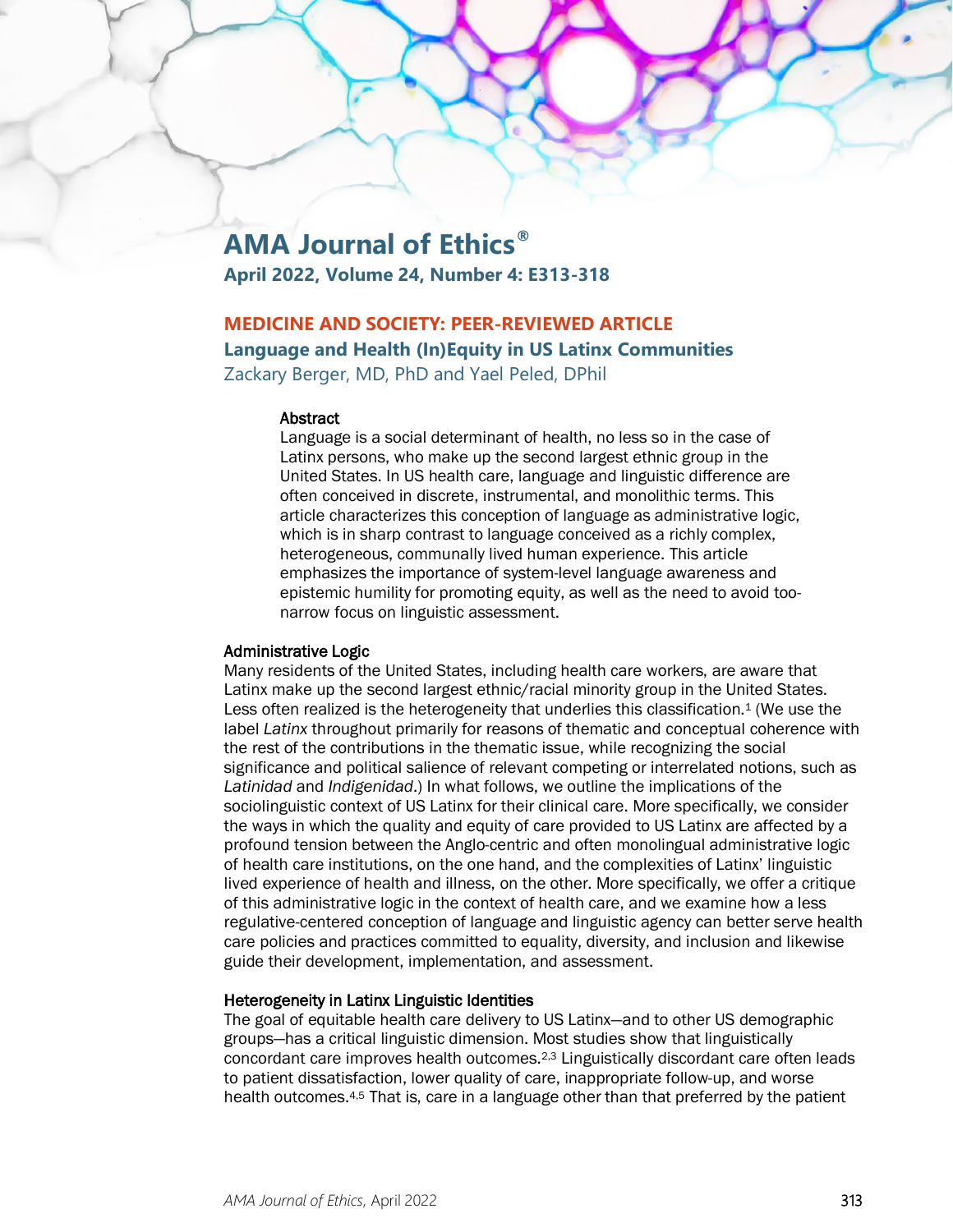# **AMA Journal of Ethics®**

**April 2022, Volume 24, Number 4: E313-318**

## **MEDICINE AND SOCIETY: PEER-REVIEWED ARTICLE**

## **Language and Health (In)Equity in US Latinx Communities**

Zackary Berger, MD, PhD and Yael Peled, DPhil

#### Abstract

Language is a social determinant of health, no less so in the case of Latinx persons, who make up the second largest ethnic group in the United States. In US health care, language and linguistic difference are often conceived in discrete, instrumental, and monolithic terms. This article characterizes this conception of language as administrative logic, which is in sharp contrast to language conceived as a richly complex, heterogeneous, communally lived human experience. This article emphasizes the importance of system-level language awareness and epistemic humility for promoting equity, as well as the need to avoid toonarrow focus on linguistic assessment.

## Administrative Logic

Many residents of the United States, including health care workers, are aware that Latinx make up the second largest ethnic/racial minority group in the United States. Less often realized is the heterogeneity that underlies this classification.1 (We use the label *Latinx* throughout primarily for reasons of thematic and conceptual coherence with the rest of the contributions in the thematic issue, while recognizing the social significance and political salience of relevant competing or interrelated notions, such as *Latinidad* and *Indigenidad*.) In what follows, we outline the implications of the sociolinguistic context of US Latinx for their clinical care. More specifically, we consider the ways in which the quality and equity of care provided to US Latinx are affected by a profound tension between the Anglo-centric and often monolingual administrative logic of health care institutions, on the one hand, and the complexities of Latinx' linguistic lived experience of health and illness, on the other. More specifically, we offer a critique of this administrative logic in the context of health care, and we examine how a less regulative-centered conception of language and linguistic agency can better serve health care policies and practices committed to equality, diversity, and inclusion and likewise guide their development, implementation, and assessment.

## Heterogeneity in Latinx Linguistic Identities

The goal of equitable health care delivery to US Latinx—and to other US demographic groups—has a critical linguistic dimension. Most studies show that linguistically concordant care improves health outcomes.2,3 Linguistically discordant care often leads to patient dissatisfaction, lower quality of care, inappropriate follow-up, and worse health outcomes.4,5 That is, care in a language other than that preferred by the patient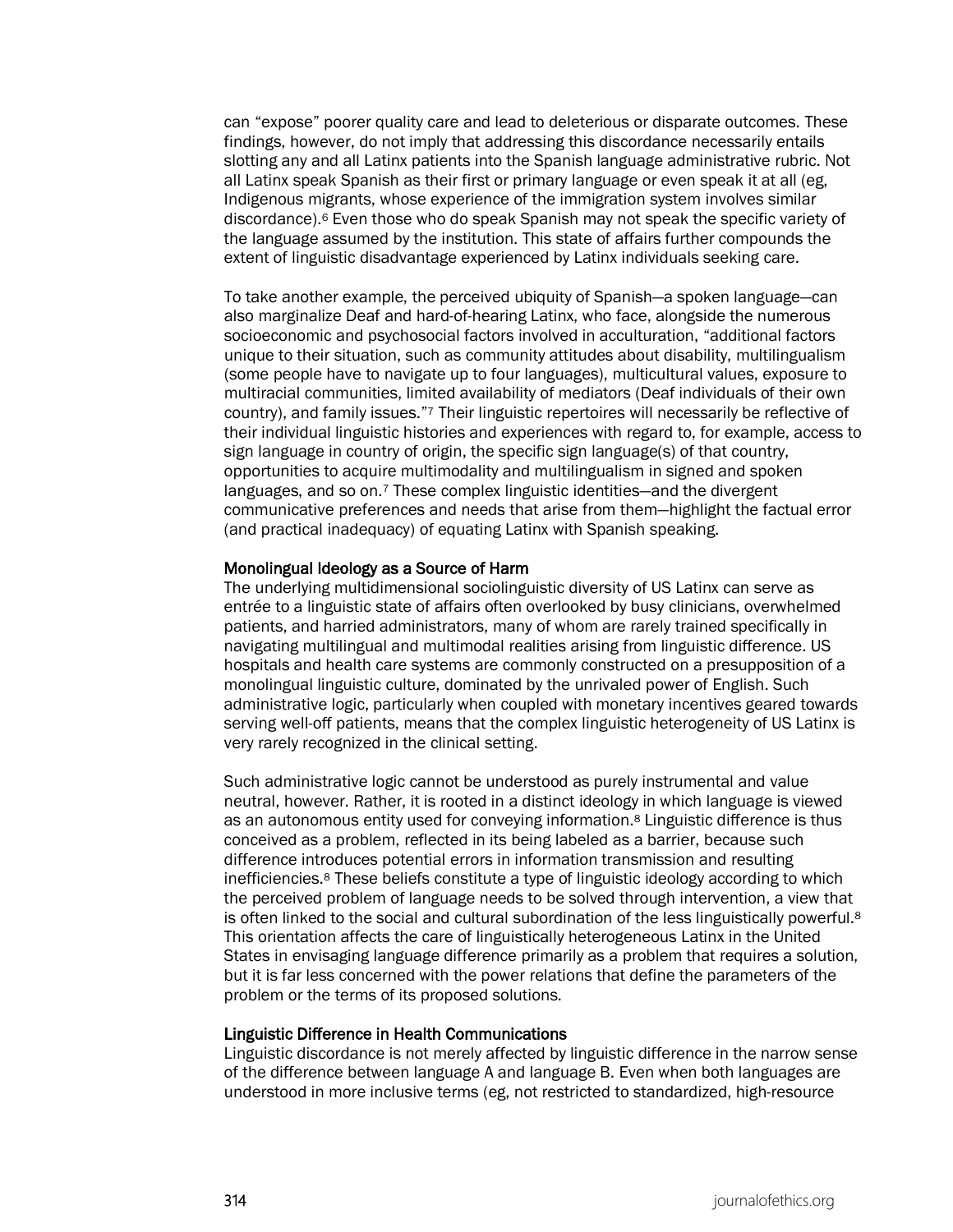can "expose" poorer quality care and lead to deleterious or disparate outcomes. These findings, however, do not imply that addressing this discordance necessarily entails slotting any and all Latinx patients into the Spanish language administrative rubric. Not all Latinx speak Spanish as their first or primary language or even speak it at all (eg, Indigenous migrants, whose experience of the immigration system involves similar discordance).6 Even those who do speak Spanish may not speak the specific variety of the language assumed by the institution. This state of affairs further compounds the extent of linguistic disadvantage experienced by Latinx individuals seeking care.

To take another example, the perceived ubiquity of Spanish—a spoken language—can also marginalize Deaf and hard-of-hearing Latinx, who face, alongside the numerous socioeconomic and psychosocial factors involved in acculturation, "additional factors unique to their situation, such as community attitudes about disability, multilingualism (some people have to navigate up to four languages), multicultural values, exposure to multiracial communities, limited availability of mediators (Deaf individuals of their own country), and family issues."7 Their linguistic repertoires will necessarily be reflective of their individual linguistic histories and experiences with regard to, for example, access to sign language in country of origin, the specific sign language(s) of that country, opportunities to acquire multimodality and multilingualism in signed and spoken languages, and so on.7 These complex linguistic identities—and the divergent communicative preferences and needs that arise from them—highlight the factual error (and practical inadequacy) of equating Latinx with Spanish speaking.

#### Monolingual Ideology as a Source of Harm

The underlying multidimensional sociolinguistic diversity of US Latinx can serve as entrée to a linguistic state of affairs often overlooked by busy clinicians, overwhelmed patients, and harried administrators, many of whom are rarely trained specifically in navigating multilingual and multimodal realities arising from linguistic difference. US hospitals and health care systems are commonly constructed on a presupposition of a monolingual linguistic culture, dominated by the unrivaled power of English. Such administrative logic, particularly when coupled with monetary incentives geared towards serving well-off patients, means that the complex linguistic heterogeneity of US Latinx is very rarely recognized in the clinical setting.

Such administrative logic cannot be understood as purely instrumental and value neutral, however. Rather, it is rooted in a distinct ideology in which language is viewed as an autonomous entity used for conveying information.8 Linguistic difference is thus conceived as a problem, reflected in its being labeled as a barrier, because such difference introduces potential errors in information transmission and resulting inefficiencies.8 These beliefs constitute a type of linguistic ideology according to which the perceived problem of language needs to be solved through intervention, a view that is often linked to the social and cultural subordination of the less linguistically powerful.<sup>8</sup> This orientation affects the care of linguistically heterogeneous Latinx in the United States in envisaging language difference primarily as a problem that requires a solution, but it is far less concerned with the power relations that define the parameters of the problem or the terms of its proposed solutions.

#### Linguistic Difference in Health Communications

Linguistic discordance is not merely affected by linguistic difference in the narrow sense of the difference between language A and language B. Even when both languages are understood in more inclusive terms (eg, not restricted to standardized, high-resource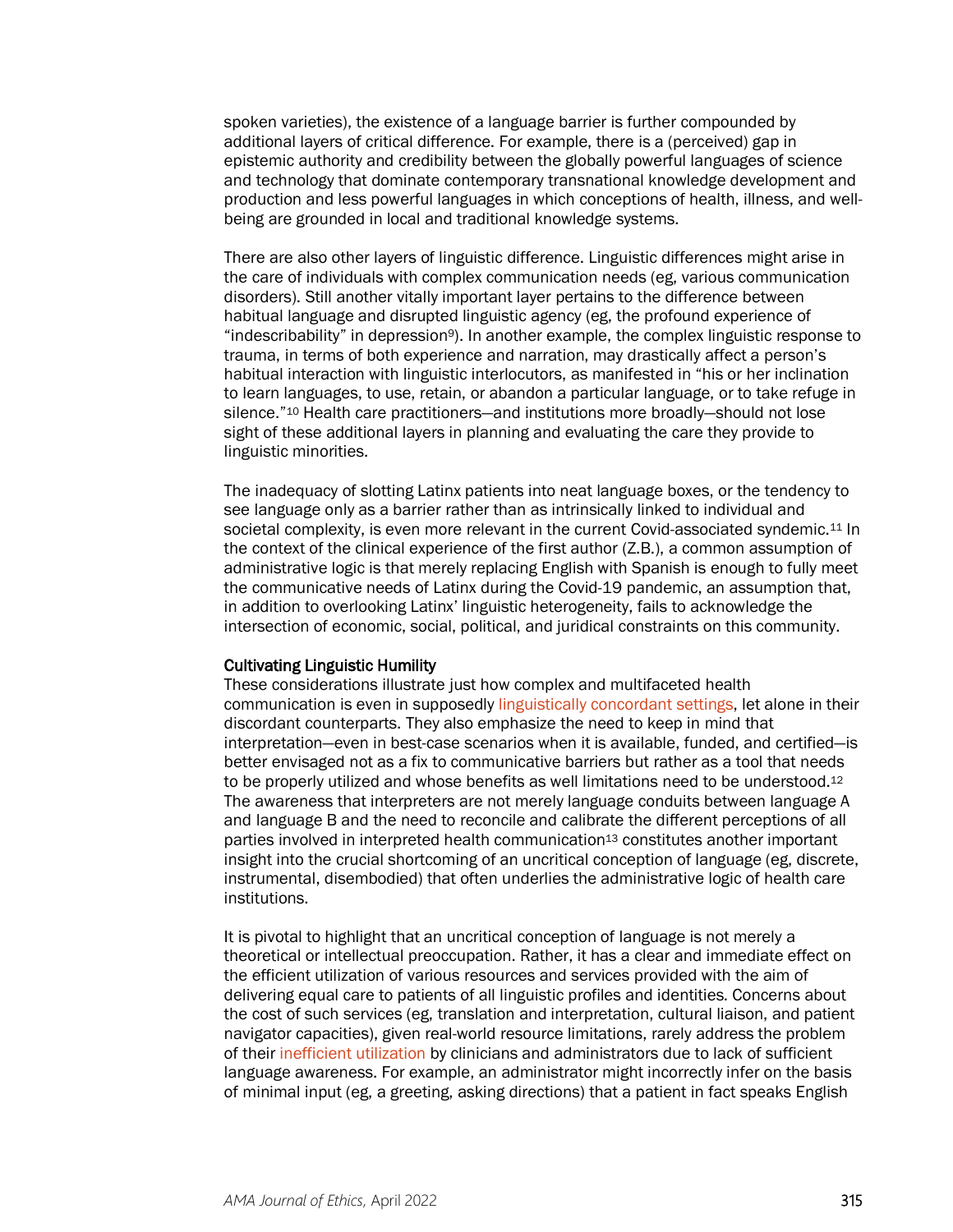spoken varieties), the existence of a language barrier is further compounded by additional layers of critical difference. For example, there is a (perceived) gap in epistemic authority and credibility between the globally powerful languages of science and technology that dominate contemporary transnational knowledge development and production and less powerful languages in which conceptions of health, illness, and wellbeing are grounded in local and traditional knowledge systems.

There are also other layers of linguistic difference. Linguistic differences might arise in the care of individuals with complex communication needs (eg, various communication disorders). Still another vitally important layer pertains to the difference between habitual language and disrupted linguistic agency (eg, the profound experience of "indescribability" in depression9). In another example, the complex linguistic response to trauma, in terms of both experience and narration, may drastically affect a person's habitual interaction with linguistic interlocutors, as manifested in "his or her inclination to learn languages, to use, retain, or abandon a particular language, or to take refuge in silence."10 Health care practitioners—and institutions more broadly—should not lose sight of these additional layers in planning and evaluating the care they provide to linguistic minorities.

The inadequacy of slotting Latinx patients into neat language boxes, or the tendency to see language only as a barrier rather than as intrinsically linked to individual and societal complexity, is even more relevant in the current Covid-associated syndemic.<sup>11</sup> In the context of the clinical experience of the first author (Z.B.), a common assumption of administrative logic is that merely replacing English with Spanish is enough to fully meet the communicative needs of Latinx during the Covid-19 pandemic, an assumption that, in addition to overlooking Latinx' linguistic heterogeneity, fails to acknowledge the intersection of economic, social, political, and juridical constraints on this community.

#### Cultivating Linguistic Humility

These considerations illustrate just how complex and multifaceted health communication is even in supposedly [linguistically concordant settings,](https://journalofethics.ama-assn.org/article/medical-students-certified-interpreters/2019-03) let alone in their discordant counterparts. They also emphasize the need to keep in mind that interpretation—even in best-case scenarios when it is available, funded, and certified—is better envisaged not as a fix to communicative barriers but rather as a tool that needs to be properly utilized and whose benefits as well limitations need to be understood.<sup>12</sup> The awareness that interpreters are not merely language conduits between language A and language B and the need to reconcile and calibrate the different perceptions of all parties involved in interpreted health communication<sup>13</sup> constitutes another important insight into the crucial shortcoming of an uncritical conception of language (eg, discrete, instrumental, disembodied) that often underlies the administrative logic of health care institutions.

It is pivotal to highlight that an uncritical conception of language is not merely a theoretical or intellectual preoccupation. Rather, it has a clear and immediate effect on the efficient utilization of various resources and services provided with the aim of delivering equal care to patients of all linguistic profiles and identities. Concerns about the cost of such services (eg, translation and interpretation, cultural liaison, and patient navigator capacities), given real-world resource limitations, rarely address the problem of thei[r inefficient utilization](https://journalofethics.ama-assn.org/article/language-based-inequity-health-care-who-poor-historian/2017-03) by clinicians and administrators due to lack of sufficient language awareness. For example, an administrator might incorrectly infer on the basis of minimal input (eg, a greeting, asking directions) that a patient in fact speaks English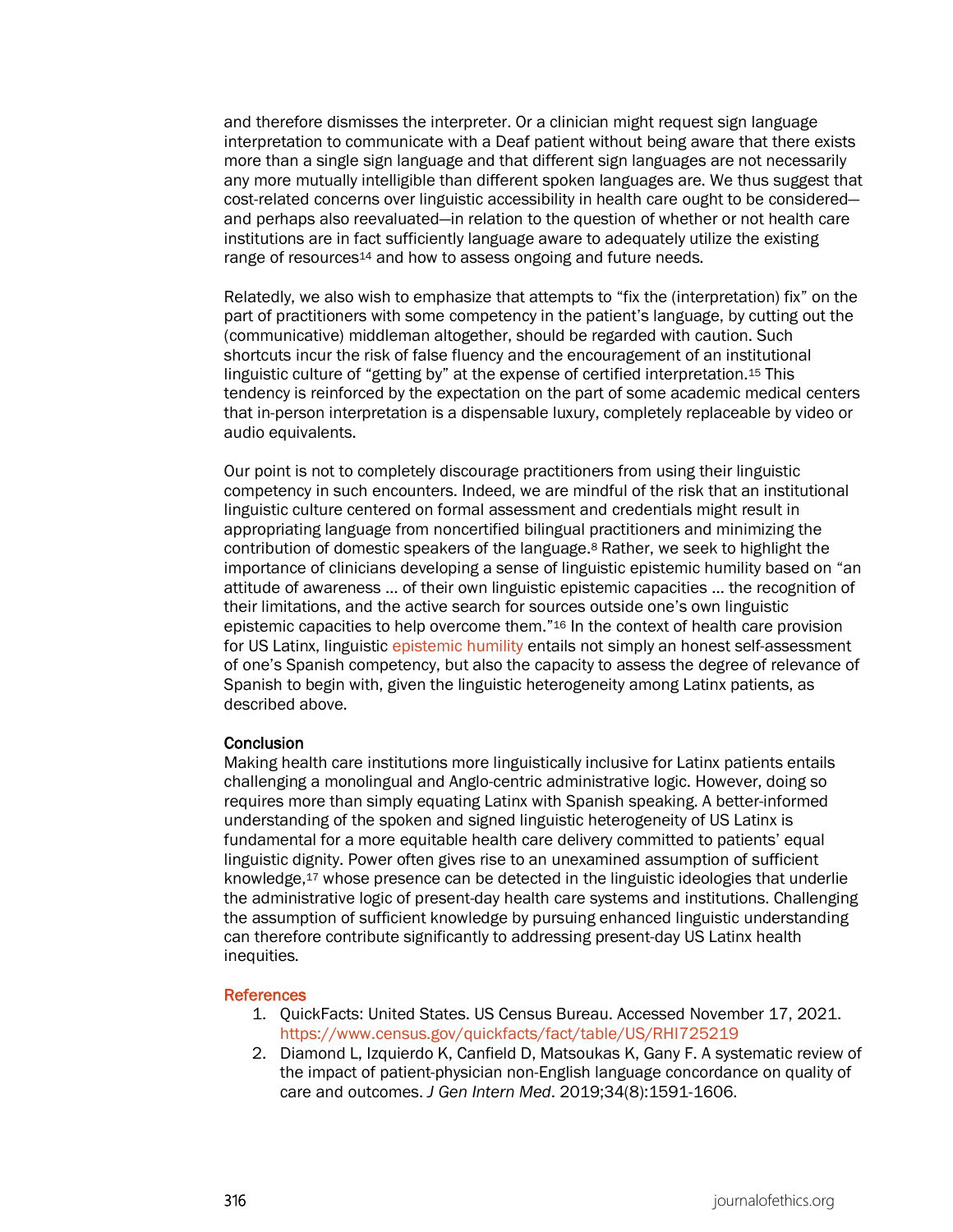and therefore dismisses the interpreter. Or a clinician might request sign language interpretation to communicate with a Deaf patient without being aware that there exists more than a single sign language and that different sign languages are not necessarily any more mutually intelligible than different spoken languages are. We thus suggest that cost-related concerns over linguistic accessibility in health care ought to be considered and perhaps also reevaluated—in relation to the question of whether or not health care institutions are in fact sufficiently language aware to adequately utilize the existing range of resources<sup>14</sup> and how to assess ongoing and future needs.

Relatedly, we also wish to emphasize that attempts to "fix the (interpretation) fix" on the part of practitioners with some competency in the patient's language, by cutting out the (communicative) middleman altogether, should be regarded with caution. Such shortcuts incur the risk of false fluency and the encouragement of an institutional linguistic culture of "getting by" at the expense of certified interpretation.15 This tendency is reinforced by the expectation on the part of some academic medical centers that in-person interpretation is a dispensable luxury, completely replaceable by video or audio equivalents.

Our point is not to completely discourage practitioners from using their linguistic competency in such encounters. Indeed, we are mindful of the risk that an institutional linguistic culture centered on formal assessment and credentials might result in appropriating language from noncertified bilingual practitioners and minimizing the contribution of domestic speakers of the language.8 Rather, we seek to highlight the importance of clinicians developing a sense of linguistic epistemic humility based on "an attitude of awareness … of their own linguistic epistemic capacities … the recognition of their limitations, and the active search for sources outside one's own linguistic epistemic capacities to help overcome them."16 In the context of health care provision for US Latinx, linguistic [epistemic humility](https://journalofethics.ama-assn.org/article/cultivating-humility-and-diagnostic-openness-clinical-judgment/2017-10) entails not simply an honest self-assessment of one's Spanish competency, but also the capacity to assess the degree of relevance of Spanish to begin with, given the linguistic heterogeneity among Latinx patients, as described above.

#### **Conclusion**

Making health care institutions more linguistically inclusive for Latinx patients entails challenging a monolingual and Anglo-centric administrative logic. However, doing so requires more than simply equating Latinx with Spanish speaking. A better-informed understanding of the spoken and signed linguistic heterogeneity of US Latinx is fundamental for a more equitable health care delivery committed to patients' equal linguistic dignity. Power often gives rise to an unexamined assumption of sufficient knowledge,17 whose presence can be detected in the linguistic ideologies that underlie the administrative logic of present-day health care systems and institutions. Challenging the assumption of sufficient knowledge by pursuing enhanced linguistic understanding can therefore contribute significantly to addressing present-day US Latinx health inequities.

#### **References**

- 1. QuickFacts: United States. US Census Bureau. Accessed November 17, 2021. <https://www.census.gov/quickfacts/fact/table/US/RHI725219>
- 2. Diamond L, Izquierdo K, Canfield D, Matsoukas K, Gany F. A systematic review of the impact of patient-physician non-English language concordance on quality of care and outcomes. *J Gen Intern Med*. 2019;34(8):1591-1606.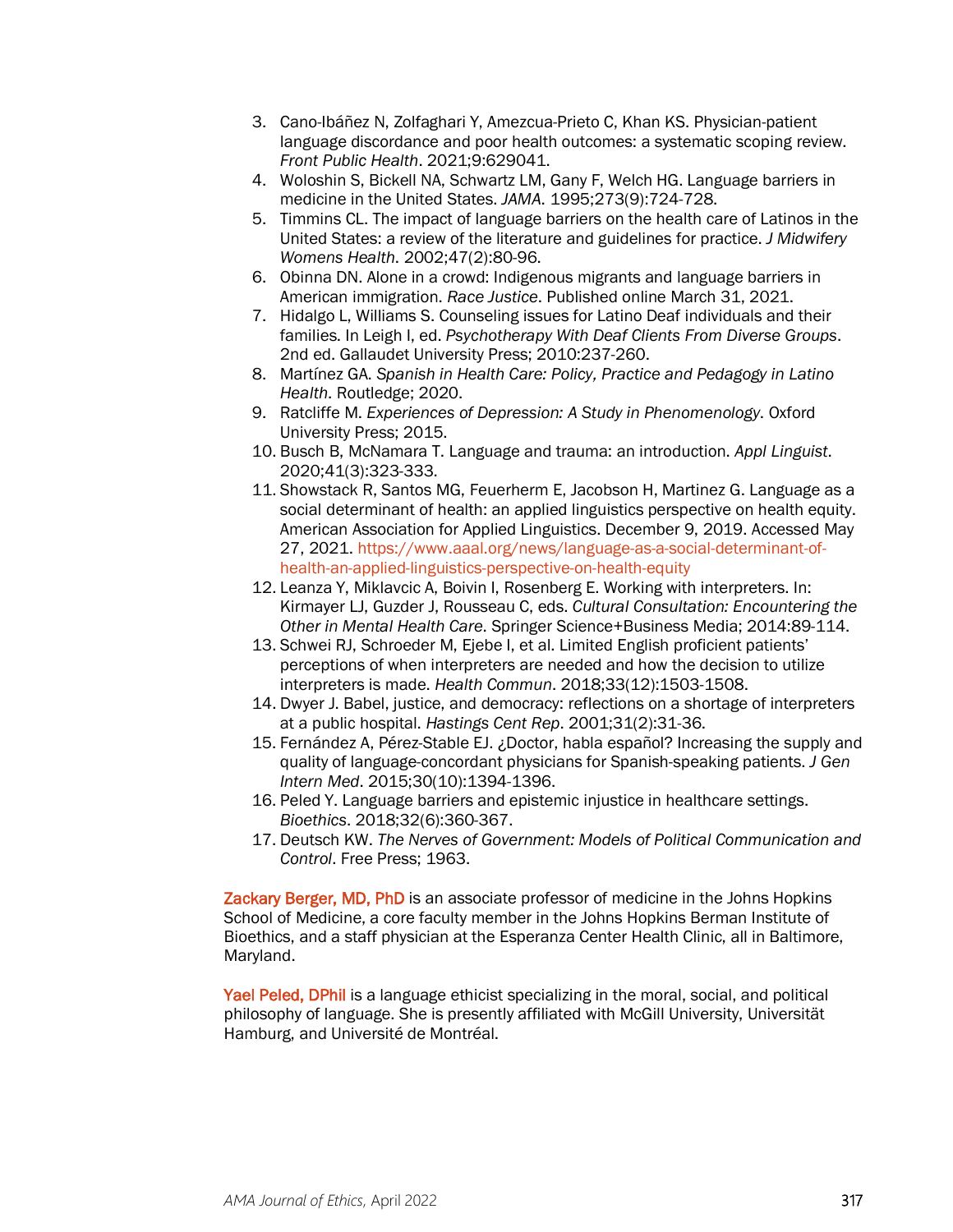- 3. Cano-Ibáñez N, Zolfaghari Y, Amezcua-Prieto C, Khan KS. Physician-patient language discordance and poor health outcomes: a systematic scoping review. *Front Public Health*. 2021;9:629041.
- 4. Woloshin S, Bickell NA, Schwartz LM, Gany F, Welch HG. Language barriers in medicine in the United States. *JAMA*. 1995;273(9):724-728.
- 5. Timmins CL. The impact of language barriers on the health care of Latinos in the United States: a review of the literature and guidelines for practice. *J Midwifery Womens Health*. 2002;47(2):80-96.
- 6. Obinna DN. Alone in a crowd: Indigenous migrants and language barriers in American immigration. *Race Justice*. Published online March 31, 2021.
- 7. Hidalgo L, Williams S. Counseling issues for Latino Deaf individuals and their families. In Leigh I, ed. *Psychotherapy With Deaf Clients From Diverse Groups*. 2nd ed. Gallaudet University Press; 2010:237-260.
- 8. Martínez GA. *Spanish in Health Care: Policy, Practice and Pedagogy in Latino Health*. Routledge; 2020.
- 9. Ratcliffe M. *Experiences of Depression: A Study in Phenomenology*. Oxford University Press; 2015.
- 10. Busch B, McNamara T. Language and trauma: an introduction. *Appl Linguist*. 2020;41(3):323-333.
- 11. Showstack R, Santos MG, Feuerherm E, Jacobson H, Martinez G. Language as a social determinant of health: an applied linguistics perspective on health equity. American Association for Applied Linguistics. December 9, 2019. Accessed May 27, 2021[. https://www.aaal.org/news/language-as-a-social-determinant-of](https://www.aaal.org/news/language-as-a-social-determinant-of-health-an-applied-linguistics-perspective-on-health-equity)[health-an-applied-linguistics-perspective-on-health-equity](https://www.aaal.org/news/language-as-a-social-determinant-of-health-an-applied-linguistics-perspective-on-health-equity)
- 12. Leanza Y, Miklavcic A, Boivin I, Rosenberg E. Working with interpreters. In: Kirmayer LJ, Guzder J, Rousseau C, eds. *Cultural Consultation: Encountering the Other in Mental Health Care*. Springer Science+Business Media; 2014:89-114.
- 13. Schwei RJ, Schroeder M, Ejebe I, et al. Limited English proficient patients' perceptions of when interpreters are needed and how the decision to utilize interpreters is made. *Health Commun*. 2018;33(12):1503-1508.
- 14. Dwyer J. Babel, justice, and democracy: reflections on a shortage of interpreters at a public hospital. *Hastings Cent Rep*. 2001;31(2):31-36.
- 15. Fernández A, Pérez-Stable EJ. ¿Doctor, habla español? Increasing the supply and quality of language-concordant physicians for Spanish-speaking patients. *J Gen Intern Med*. 2015;30(10):1394-1396.
- 16. Peled Y. Language barriers and epistemic injustice in healthcare settings. *Bioethics*. 2018;32(6):360-367.
- 17. Deutsch KW. *The Nerves of Government: Models of Political Communication and Control*. Free Press; 1963.

Zackary Berger, MD, PhD is an associate professor of medicine in the Johns Hopkins School of Medicine, a core faculty member in the Johns Hopkins Berman Institute of Bioethics, and a staff physician at the Esperanza Center Health Clinic, all in Baltimore, Maryland.

Yael Peled, DPhil is a language ethicist specializing in the moral, social, and political philosophy of language. She is presently affiliated with McGill University, Universität Hamburg, and Université de Montréal.